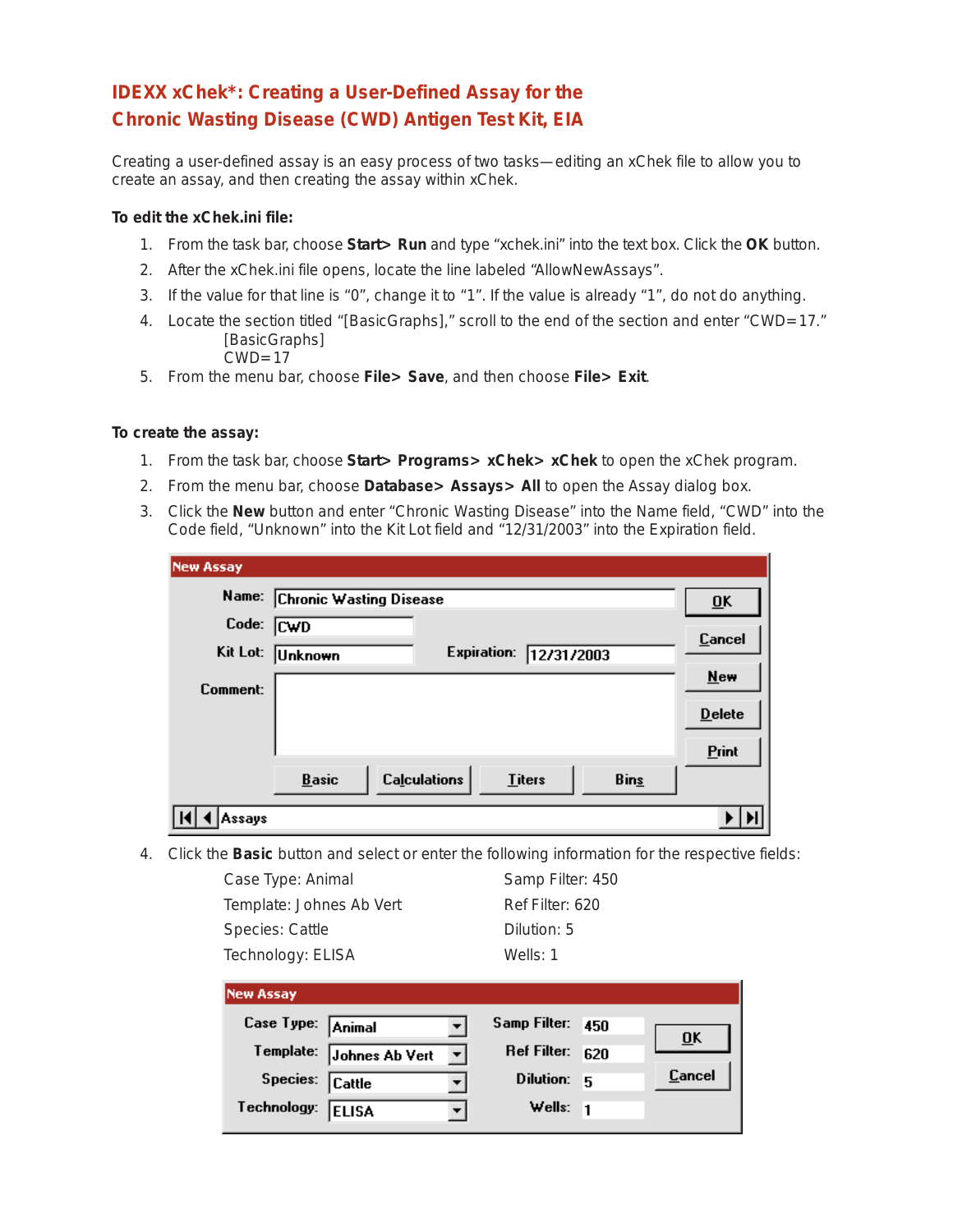## **IDEXX xChek\*: Creating a User-Defined Assay for the Chronic Wasting Disease (CWD) Antigen Test Kit, EIA**

Creating a user-defined assay is an easy process of two tasks—editing an xChek file to allow you to create an assay, and then creating the assay within xChek.

## **To edit the xChek.ini file:**

- 1. From the task bar, choose **Start> Run** and type "xchek.ini" into the text box. Click the **OK** button.
- 2. After the xChek.ini file opens, locate the line labeled "AllowNewAssays".
- 3. If the value for that line is "0", change it to "1". If the value is already "1", do not do anything.
- 4. Locate the section titled "[BasicGraphs]," scroll to the end of the section and enter "CWD=17." [BasicGraphs]  $CWD=17$
- 5. From the menu bar, choose **File> Save**, and then choose **File> Exit**.

## **To create the assay:**

- 1. From the task bar, choose **Start> Programs> xChek> xChek** to open the xChek program.
- 2. From the menu bar, choose **Database> Assays> All** to open the Assay dialog box.
- 3. Click the **New** button and enter "Chronic Wasting Disease" into the Name field, "CWD" into the Code field, "Unknown" into the Kit Lot field and "12/31/2003" into the Expiration field.

| <b>New Assay</b>       |                                                                     |                           |
|------------------------|---------------------------------------------------------------------|---------------------------|
|                        | Name: Chronic Wasting Disease                                       | $\overline{\mathbf{0}}$ K |
| Code: $\overline{CWD}$ |                                                                     | Cancel                    |
|                        | Kit Lot: Unknown<br>Expiration: 12/31/2003                          | <b>New</b>                |
| Comment:               |                                                                     | $D$ elete                 |
|                        |                                                                     |                           |
|                        | <b>Calculations</b><br><b>Basic</b><br><b>Bins</b><br><b>Titers</b> | Print                     |
|                        |                                                                     |                           |
| issays                 |                                                                     |                           |

4. Click the **Basic** button and select or enter the following information for the respective fields:

Case Type: Animal Samp Filter: 450 Template: Johnes Ab Vert Ref Filter: 620 Species: Cattle **Dilution: 5** Technology: ELISA Wells: 1

| <b>New Assay</b>  |                          |              |                    |     |        |
|-------------------|--------------------------|--------------|--------------------|-----|--------|
| Case Type: Animal |                          |              | Samp Filter:       | 450 | ŪΚ     |
|                   | Template: Johnes Ab Vert | $\mathbf{v}$ | <b>Ref Filter:</b> | 620 |        |
| Species: Cattle   |                          |              | Dilution:          | 5   | Cancel |
| Technology: ELISA |                          |              | Wells: $1$         |     |        |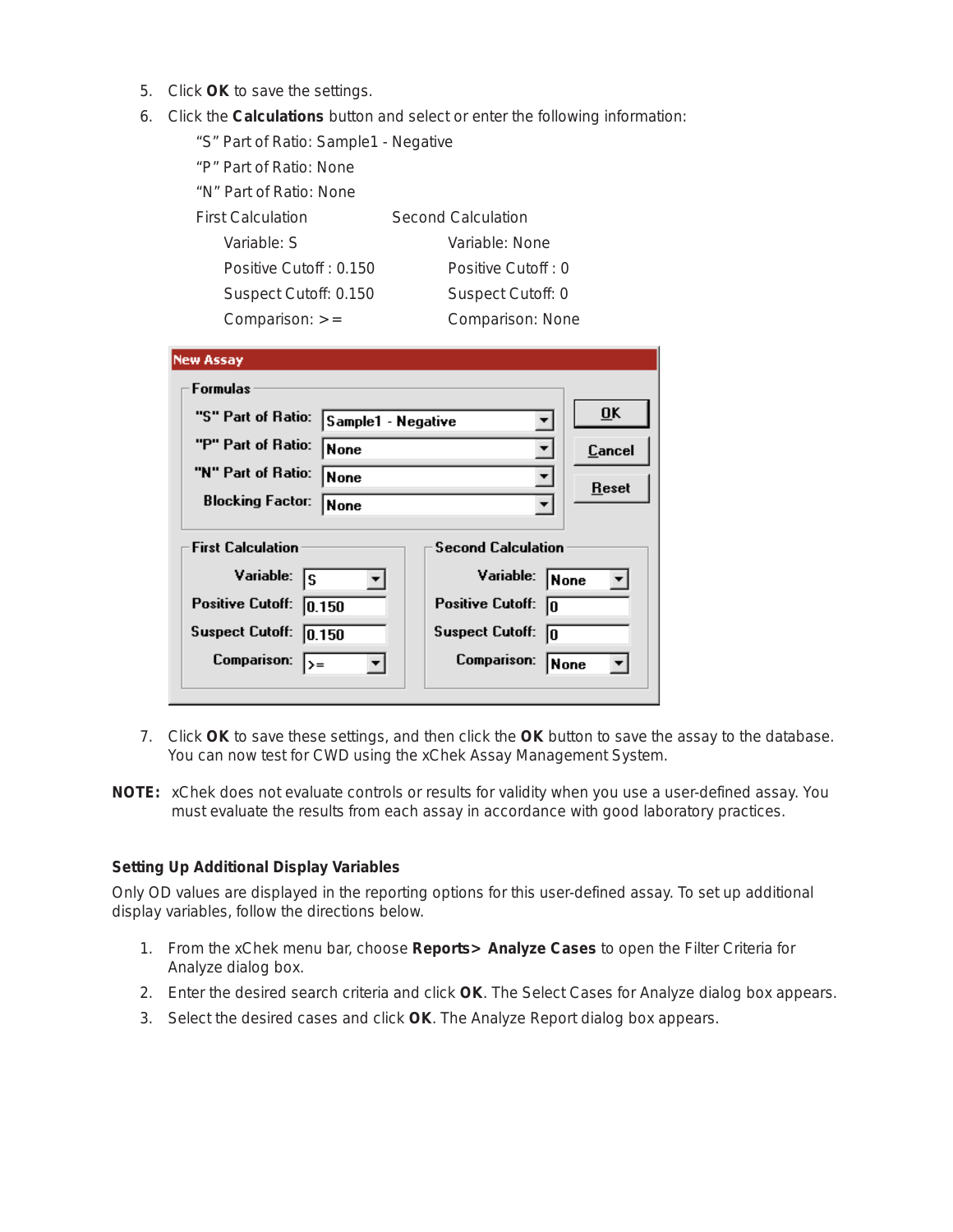- 5. Click **OK** to save the settings.
- 6. Click the **Calculations** button and select or enter the following information:

| <b>Blocking Factor:</b>               | None |                           |              |
|---------------------------------------|------|---------------------------|--------------|
| "N" Part of Ratio:                    | None |                           | Rese         |
| "P" Part of Ratio:                    | None |                           | <u>Cance</u> |
| "S" Part of Ratio:                    |      | Sample1 - Negative        | <u>o</u> k   |
| <b>Formulas</b>                       |      |                           |              |
| <b>New Assay</b>                      |      |                           |              |
| Comparison: $>=$                      |      | Comparison: None          |              |
| Suspect Cutoff: 0.150                 |      | Suspect Cutoff: 0         |              |
| Positive Cutoff: 0.150                |      | Positive Cutoff: 0        |              |
| Variable: S                           |      | Variable: None            |              |
| <b>First Calculation</b>              |      | <b>Second Calculation</b> |              |
| "N" Part of Ratio: None               |      |                           |              |
| "P" Part of Ratio: None               |      |                           |              |
| "S" Part of Ratio: Sample1 - Negative |      |                           |              |

| J TOR VEHOUV.<br>sample1          | - Negative                    |
|-----------------------------------|-------------------------------|
| "P" Part of Ratio:<br>None        | Cancel                        |
| "N" Part of Ratio:<br>None        | Reset                         |
| <b>Blocking Factor:</b><br>None   |                               |
|                                   |                               |
| <b>First Calculation</b>          | <b>Second Calculation</b>     |
| Variable:<br>ls                   | Variable:<br>None             |
| <b>Positive Cutoff:</b><br> 0.150 | <b>Positive Cutoff:</b><br>10 |
| <b>Suspect Cutoff:</b><br> 0.150  | <b>Suspect Cutoff:</b><br>In  |
| Comparison:<br>$  \rangle =$      | Comparison:<br>None           |
|                                   |                               |

- 7. Click **OK** to save these settings, and then click the **OK** button to save the assay to the database. You can now test for CWD using the xChek Assay Management System.
- **NOTE:** xChek does not evaluate controls or results for validity when you use a user-defined assay. You must evaluate the results from each assay in accordance with good laboratory practices.

## **Setting Up Additional Display Variables**

Only OD values are displayed in the reporting options for this user-defined assay. To set up additional display variables, follow the directions below.

- 1. From the xChek menu bar, choose **Reports> Analyze Cases** to open the Filter Criteria for Analyze dialog box.
- 2. Enter the desired search criteria and click **OK**. The Select Cases for Analyze dialog box appears.
- 3. Select the desired cases and click **OK**. The Analyze Report dialog box appears.